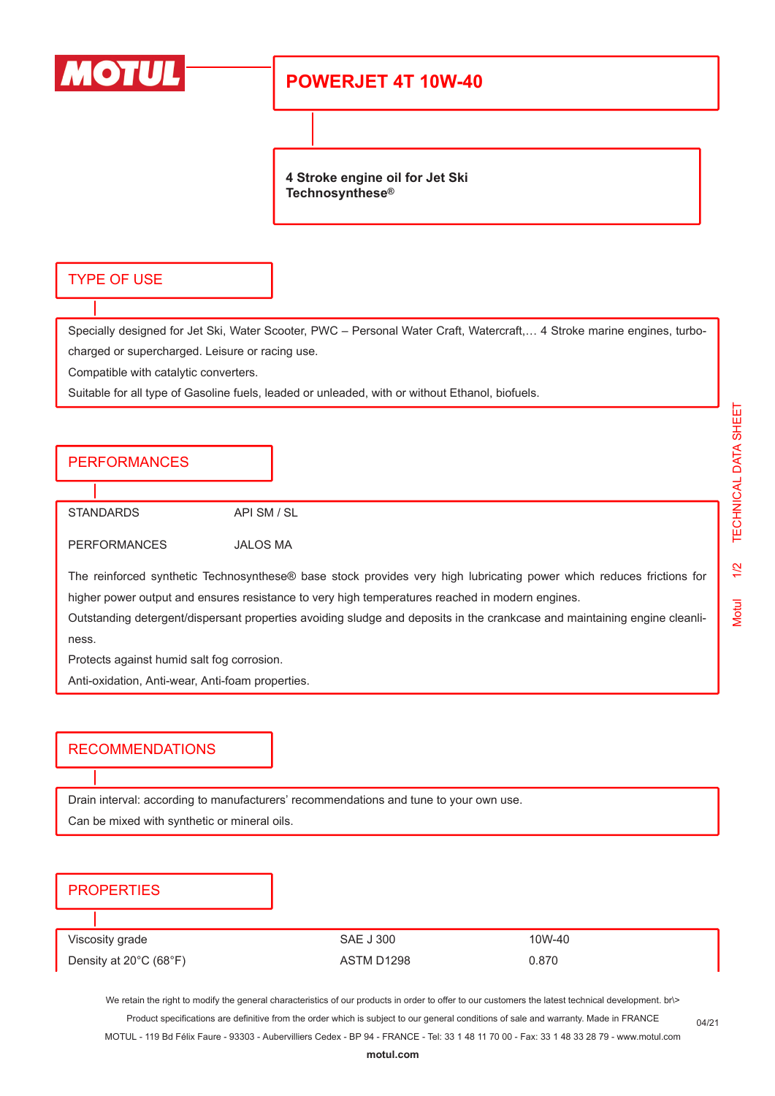

## **POWERJET 4T 10W-40**

**4 Stroke engine oil for Jet Ski Technosynthese®**

#### TYPE OF USE

Specially designed for Jet Ski, Water Scooter, PWC – Personal Water Craft, Watercraft,… 4 Stroke marine engines, turbocharged or supercharged. Leisure or racing use.

Compatible with catalytic converters.

Suitable for all type of Gasoline fuels, leaded or unleaded, with or without Ethanol, biofuels.

### **PERFORMANCES**

STANDARDS API SM / SL

PERFORMANCES JALOS MA

The reinforced synthetic Technosynthese® base stock provides very high lubricating power which reduces frictions for higher power output and ensures resistance to very high temperatures reached in modern engines.

Outstanding detergent/dispersant properties avoiding sludge and deposits in the crankcase and maintaining engine cleanliness.

Protects against humid salt fog corrosion.

Anti-oxidation, Anti-wear, Anti-foam properties.

#### RECOMMENDATIONS

Drain interval: according to manufacturers' recommendations and tune to your own use.

Can be mixed with synthetic or mineral oils.

### **PROPERTIES**

| Viscosity grade                             | SAE J 300  | 10W-40 |
|---------------------------------------------|------------|--------|
| Density at $20^{\circ}$ C (68 $^{\circ}$ F) | ASTM D1298 | 0.870  |

We retain the right to modify the general characteristics of our products in order to offer to our customers the latest technical development. br\> Product specifications are definitive from the order which is subject to our general conditions of sale and warranty. Made in FRANCE

MOTUL - 119 Bd Félix Faure - 93303 - Aubervilliers Cedex - BP 94 - FRANCE - Tel: 33 1 48 11 70 00 - Fax: 33 1 48 33 28 79 - www.motul.com

04/21